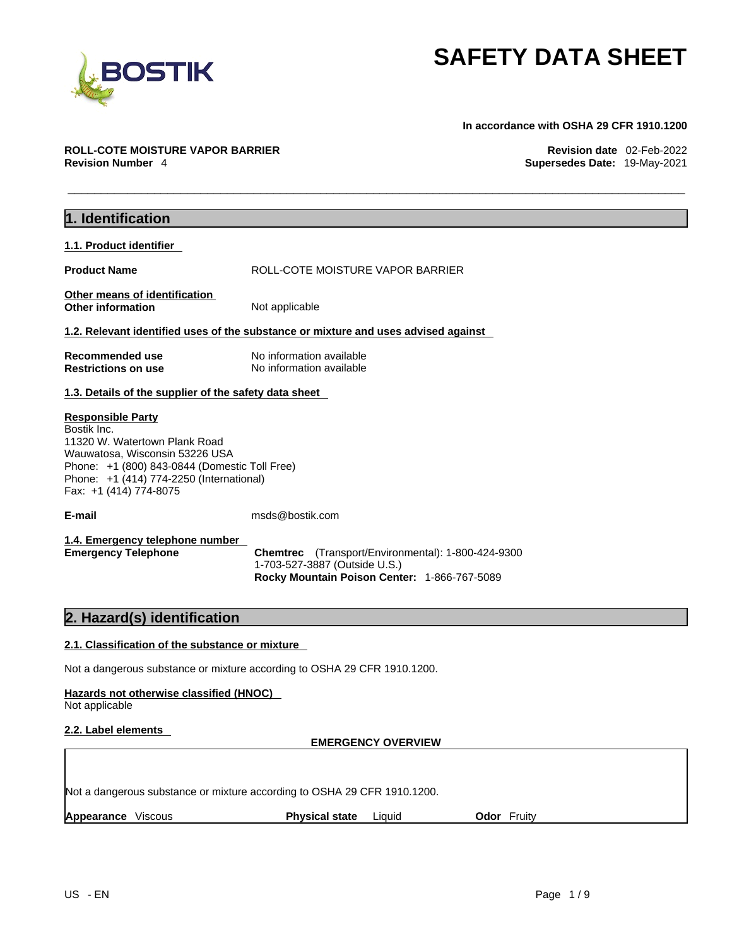

**In accordance with OSHA 29 CFR 1910.1200** 

**ROLL-COTE MOISTURE VAPOR BARRIER Revision date** 02-Feb-2022 **Revision Number** 4 **Supersedes Date:** 19-May-2021

| 1. Identification                                                                                                                                                                                                                 |                                                                                                                                     |
|-----------------------------------------------------------------------------------------------------------------------------------------------------------------------------------------------------------------------------------|-------------------------------------------------------------------------------------------------------------------------------------|
| 1.1. Product identifier                                                                                                                                                                                                           |                                                                                                                                     |
| <b>Product Name</b>                                                                                                                                                                                                               | ROLL-COTE MOISTURE VAPOR BARRIER                                                                                                    |
| Other means of identification<br>Other information                                                                                                                                                                                | Not applicable                                                                                                                      |
|                                                                                                                                                                                                                                   | 1.2. Relevant identified uses of the substance or mixture and uses advised against                                                  |
| <b>Recommended use</b><br><b>Restrictions on use</b>                                                                                                                                                                              | No information available<br>No information available                                                                                |
| 1.3. Details of the supplier of the safety data sheet                                                                                                                                                                             |                                                                                                                                     |
| <b>Responsible Party</b><br>Bostik Inc.<br>11320 W. Watertown Plank Road<br>Wauwatosa, Wisconsin 53226 USA<br>Phone: +1 (800) 843-0844 (Domestic Toll Free)<br>Phone: +1 (414) 774-2250 (International)<br>Fax: +1 (414) 774-8075 |                                                                                                                                     |
| E-mail                                                                                                                                                                                                                            | msds@bostik.com                                                                                                                     |
| 1.4. Emergency telephone number<br><b>Emergency Telephone</b>                                                                                                                                                                     | Chemtrec (Transport/Environmental): 1-800-424-9300<br>1-703-527-3887 (Outside U.S.)<br>Rocky Mountain Poison Center: 1-866-767-5089 |
| 2. Hazard(s) identification                                                                                                                                                                                                       |                                                                                                                                     |
| 2.1. Classification of the substance or mixture                                                                                                                                                                                   |                                                                                                                                     |
|                                                                                                                                                                                                                                   | Not a dangerous substance or mixture according to OSHA 29 CFR 1910.1200.                                                            |
| Hazards not otherwise classified (HNOC)<br>Not applicable                                                                                                                                                                         |                                                                                                                                     |
| 2.2. Label elements                                                                                                                                                                                                               | <b>EMERGENCY OVERVIEW</b>                                                                                                           |
|                                                                                                                                                                                                                                   |                                                                                                                                     |
|                                                                                                                                                                                                                                   | Not a dangerous substance or mixture according to OSHA 29 CFR 1910.1200.                                                            |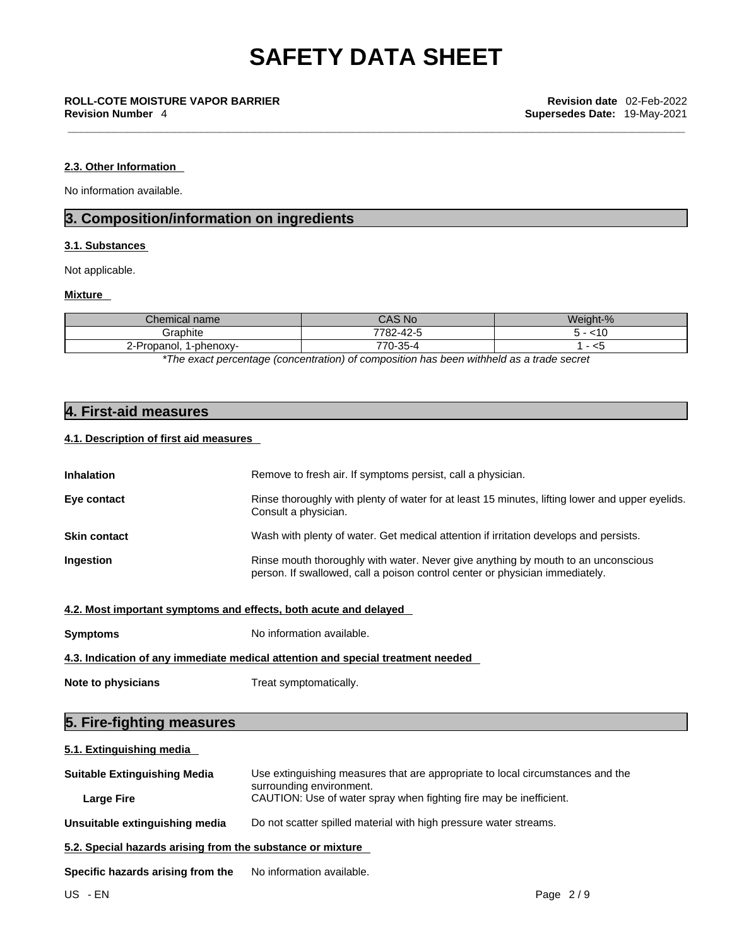## **2.3. Other Information**

No information available.

# **3. Composition/information on ingredients**

## **3.1. Substances**

Not applicable.

# **Mixture**

| Chemical name                   | $^{\circ}$ AS No $\sim$               | $\sqrt{ }$<br>111. |
|---------------------------------|---------------------------------------|--------------------|
| Graphite                        | 10F<br>7700<br><u>_</u><br>'Q∠∙<br>τ. |                    |
| 2-Propanol.<br>-phenoxy-<br>. . | $0 - 35 - 4$<br>770                   | - <:               |
|                                 | .                                     |                    |

*\*The exact percentage (concentration) ofcomposition has been withheld as a trade secret*

# **4. First-aid measures**

## **4.1. Description of first aid measures**

| <b>Inhalation</b>   | Remove to fresh air. If symptoms persist, call a physician.                                                                                                       |
|---------------------|-------------------------------------------------------------------------------------------------------------------------------------------------------------------|
| Eye contact         | Rinse thoroughly with plenty of water for at least 15 minutes, lifting lower and upper eyelids.<br>Consult a physician.                                           |
| <b>Skin contact</b> | Wash with plenty of water. Get medical attention if irritation develops and persists.                                                                             |
| <b>Ingestion</b>    | Rinse mouth thoroughly with water. Never give anything by mouth to an unconscious<br>person. If swallowed, call a poison control center or physician immediately. |
|                     | 4.2. Most important symptoms and effects, both acute and delayed                                                                                                  |
| <b>Symptoms</b>     | No information available.                                                                                                                                         |

# **4.3. Indication of any immediate medical attention and special treatment needed**

**Note to physicians** Treat symptomatically.

# **5. Fire-fighting measures**

## **5.1. Extinguishing media**

| Suitable Extinguishing Media   | Use extinguishing measures that are appropriate to local circumstances and the<br>surrounding environment. |
|--------------------------------|------------------------------------------------------------------------------------------------------------|
| <b>Large Fire</b>              | CAUTION: Use of water spray when fighting fire may be inefficient.                                         |
| Unsuitable extinguishing media | Do not scatter spilled material with high pressure water streams.                                          |

- **5.2. Special hazards arising from the substance or mixture**
- **Specific hazards arising from the** No information available.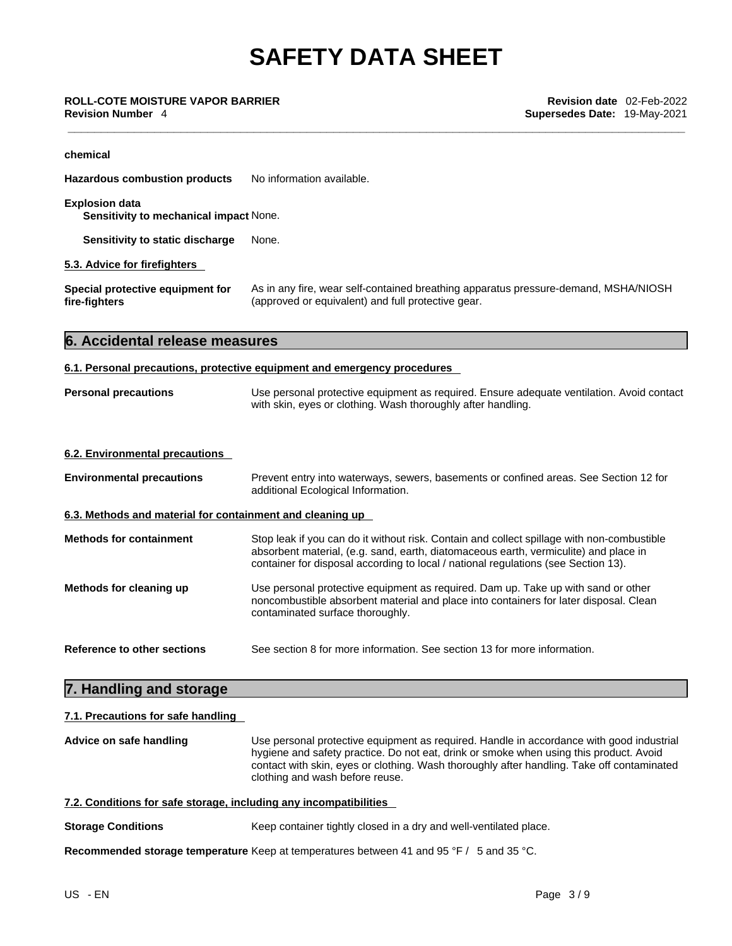| chemical                                                        |                                                                                                                                                                                                                                                                          |  |  |
|-----------------------------------------------------------------|--------------------------------------------------------------------------------------------------------------------------------------------------------------------------------------------------------------------------------------------------------------------------|--|--|
| <b>Hazardous combustion products</b>                            | No information available.                                                                                                                                                                                                                                                |  |  |
| <b>Explosion data</b><br>Sensitivity to mechanical impact None. |                                                                                                                                                                                                                                                                          |  |  |
| Sensitivity to static discharge                                 | None.                                                                                                                                                                                                                                                                    |  |  |
| 5.3. Advice for firefighters                                    |                                                                                                                                                                                                                                                                          |  |  |
| Special protective equipment for<br>fire-fighters               | As in any fire, wear self-contained breathing apparatus pressure-demand, MSHA/NIOSH<br>(approved or equivalent) and full protective gear.                                                                                                                                |  |  |
| 6. Accidental release measures                                  |                                                                                                                                                                                                                                                                          |  |  |
|                                                                 | 6.1. Personal precautions, protective equipment and emergency procedures                                                                                                                                                                                                 |  |  |
| <b>Personal precautions</b>                                     | Use personal protective equipment as required. Ensure adequate ventilation. Avoid contact<br>with skin, eyes or clothing. Wash thoroughly after handling.                                                                                                                |  |  |
| 6.2. Environmental precautions                                  |                                                                                                                                                                                                                                                                          |  |  |
| <b>Environmental precautions</b>                                | Prevent entry into waterways, sewers, basements or confined areas. See Section 12 for<br>additional Ecological Information.                                                                                                                                              |  |  |
| 6.3. Methods and material for containment and cleaning up       |                                                                                                                                                                                                                                                                          |  |  |
| <b>Methods for containment</b>                                  | Stop leak if you can do it without risk. Contain and collect spillage with non-combustible<br>absorbent material, (e.g. sand, earth, diatomaceous earth, vermiculite) and place in<br>container for disposal according to local / national regulations (see Section 13). |  |  |
| Methods for cleaning up                                         | Use personal protective equipment as required. Dam up. Take up with sand or other<br>noncombustible absorbent material and place into containers for later disposal. Clean<br>contaminated surface thoroughly.                                                           |  |  |
|                                                                 |                                                                                                                                                                                                                                                                          |  |  |

**Reference to other sections** See section 8 for more information. See section 13 for more information.

# **7. Handling and storage**

# **7.1. Precautions for safe handling**

**Advice on safe handling** Use personal protective equipment as required.Handle in accordance with good industrial hygiene and safety practice. Do not eat, drink or smoke when using this product. Avoid contact with skin, eyes or clothing. Wash thoroughly after handling. Take off contaminated clothing and wash before reuse.

# **7.2. Conditions for safe storage, including any incompatibilities**

**Storage Conditions** Keep container tightly closed in a dry and well-ventilated place.

**Recommended storage temperature** Keep at temperatures between 41 and 95 °F / 5 and 35 °C.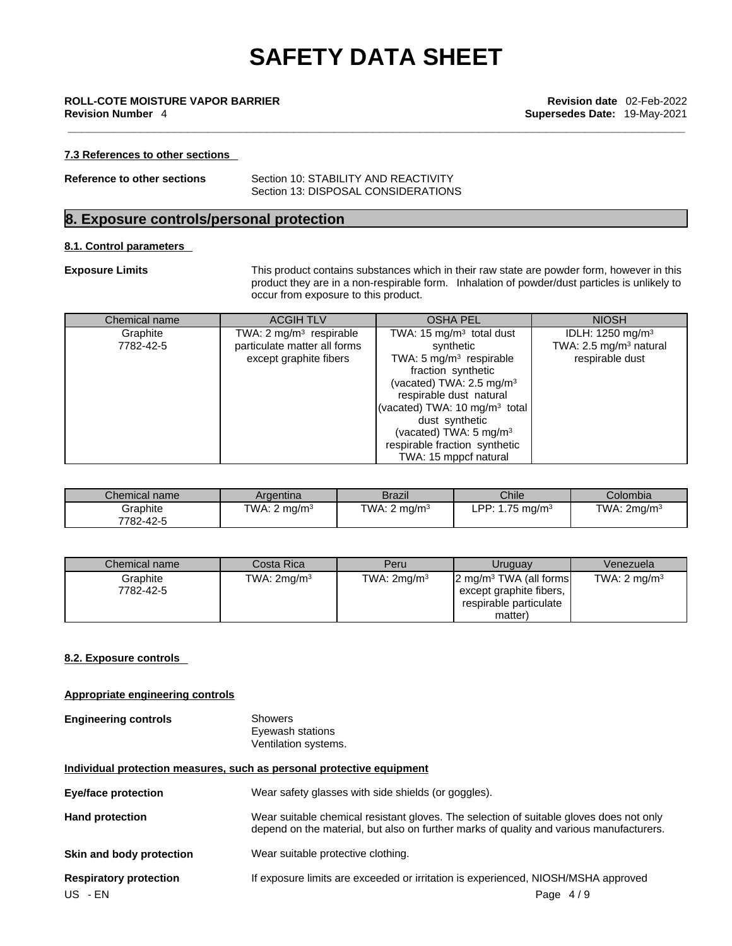**\_\_\_\_\_\_\_\_\_\_\_\_\_\_\_\_\_\_\_\_\_\_\_\_\_\_\_\_\_\_\_\_\_\_\_\_\_\_\_\_\_\_\_\_\_\_\_\_\_\_\_\_\_\_\_\_\_\_\_\_\_\_\_\_\_\_\_\_\_\_\_\_\_\_\_\_\_\_\_\_\_\_\_\_\_\_\_\_\_\_\_\_\_ ROLL-COTE MOISTURE VAPOR BARRIER Revision date** 02-Feb-2022 **Revision Number** 4 **Supersedes Date:** 19-May-2021

### **7.3 References to other sections**

**Reference to other sections** Section 10: STABILITY AND REACTIVITY Section 13: DISPOSAL CONSIDERATIONS

# **8. Exposure controls/personal protection**

## **8.1. Control parameters**

**Exposure Limits** This product contains substances which in their raw state are powder form, however in this product they are in a non-respirable form. Inhalation of powder/dust particles is unlikely to occur from exposure to this product.

| Chemical name | <b>ACGIH TLV</b>                   | <b>OSHA PEL</b>                           | <b>NIOSH</b>                       |
|---------------|------------------------------------|-------------------------------------------|------------------------------------|
| Graphite      | TWA: $2 \text{ mg/m}^3$ respirable | TWA: 15 $mg/m3$ total dust                | IDLH: 1250 mg/m <sup>3</sup>       |
| 7782-42-5     | particulate matter all forms       | synthetic                                 | TWA: 2.5 mg/m <sup>3</sup> natural |
|               | except graphite fibers             | TWA: 5 mg/m $3$ respirable                | respirable dust                    |
|               |                                    | fraction synthetic                        |                                    |
|               |                                    | (vacated) TWA: 2.5 mg/m $3$               |                                    |
|               |                                    | respirable dust natural                   |                                    |
|               |                                    | (vacated) TWA: 10 mg/m <sup>3</sup> total |                                    |
|               |                                    | dust synthetic                            |                                    |
|               |                                    | (vacated) TWA: $5 \text{ mg/m}^3$         |                                    |
|               |                                    | respirable fraction synthetic             |                                    |
|               |                                    | TWA: 15 mppcf natural                     |                                    |

| Chemical name | Argentina         | <b>Brazil</b>     | Chile                     | Colombia                |
|---------------|-------------------|-------------------|---------------------------|-------------------------|
| Graphite      | TWA.              | TWA.              | DD.                       | TWA: 2mg/m <sup>3</sup> |
| 7782-42-5     | ma/m <sup>3</sup> | ma/m <sup>3</sup> | $1.75 \; \mathrm{ma/m^3}$ |                         |

| Chemical name         | Costa Rica        | Peru          | Uruguay                                                                                 | Venezuela               |
|-----------------------|-------------------|---------------|-----------------------------------------------------------------------------------------|-------------------------|
| Graphite<br>7782-42-5 | TWA: $2$ mg/m $3$ | TWA: $2mg/m3$ | $2 \text{ mg/m}^3$ TWA (all forms)<br>except graphite fibers,<br>respirable particulate | TWA: $2 \text{ mg/m}^3$ |
|                       |                   |               | matter)                                                                                 |                         |

# **8.2. Exposure controls**

**Appropriate engineering controls**

| <b>Engineering controls</b> | Showers              |  |
|-----------------------------|----------------------|--|
|                             | Eyewash stations     |  |
|                             | Ventilation systems. |  |

## **Individual protection measures, such as personal protective equipment**

| <b>Eye/face protection</b>               | Wear safety glasses with side shields (or goggles).                                                                                                                                |
|------------------------------------------|------------------------------------------------------------------------------------------------------------------------------------------------------------------------------------|
| <b>Hand protection</b>                   | Wear suitable chemical resistant gloves. The selection of suitable gloves does not only<br>depend on the material, but also on further marks of quality and various manufacturers. |
| Skin and body protection                 | Wear suitable protective clothing.                                                                                                                                                 |
| <b>Respiratory protection</b><br>US - EN | If exposure limits are exceeded or irritation is experienced, NIOSH/MSHA approved<br>Page $4/9$                                                                                    |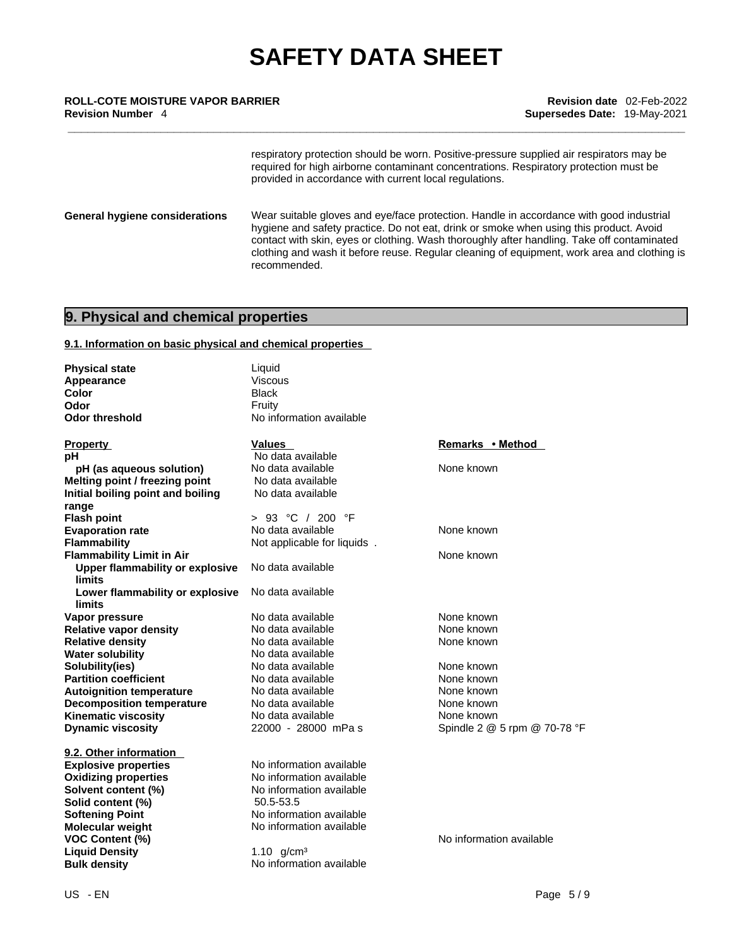**\_\_\_\_\_\_\_\_\_\_\_\_\_\_\_\_\_\_\_\_\_\_\_\_\_\_\_\_\_\_\_\_\_\_\_\_\_\_\_\_\_\_\_\_\_\_\_\_\_\_\_\_\_\_\_\_\_\_\_\_\_\_\_\_\_\_\_\_\_\_\_\_\_\_\_\_\_\_\_\_\_\_\_\_\_\_\_\_\_\_\_\_\_ ROLL-COTE MOISTURE VAPOR BARRIER Revision date** 02-Feb-2022 **Revision Number** 4 **Supersedes Date:** 19-May-2021

> respiratory protection should be worn. Positive-pressure supplied air respirators may be required for high airborne contaminant concentrations. Respiratory protection must be provided in accordance with current local regulations.

**General hygiene considerations** Wear suitable gloves and eye/face protection. Handle in accordance with good industrial hygiene and safety practice. Do not eat, drink or smoke when using this product. Avoid contact with skin, eyes or clothing. Wash thoroughly after handling. Take off contaminated clothing and wash it before reuse. Regular cleaning of equipment, work area and clothing is recommended.

# **9. Physical and chemical properties**

## **9.1. Information on basic physical and chemical properties**

| <b>Physical state</b><br>Appearance<br>Color<br>Odor<br><b>Odor threshold</b> | Liquid<br>Viscous<br><b>Black</b><br>Fruity<br>No information available |                              |
|-------------------------------------------------------------------------------|-------------------------------------------------------------------------|------------------------------|
|                                                                               |                                                                         |                              |
| <b>Property</b>                                                               | Values                                                                  | Remarks • Method             |
| pH                                                                            | No data available                                                       |                              |
| pH (as aqueous solution)                                                      | No data available                                                       | None known                   |
| Melting point / freezing point                                                | No data available                                                       |                              |
| Initial boiling point and boiling                                             | No data available                                                       |                              |
| range                                                                         |                                                                         |                              |
| <b>Flash point</b>                                                            | > 93 °C / 200 °F                                                        |                              |
| <b>Evaporation rate</b>                                                       | No data available                                                       | None known                   |
| Flammability                                                                  | Not applicable for liquids.                                             |                              |
| <b>Flammability Limit in Air</b>                                              |                                                                         | None known                   |
| <b>Upper flammability or explosive</b><br>limits                              | No data available                                                       |                              |
| Lower flammability or explosive<br><b>limits</b>                              | No data available                                                       |                              |
| Vapor pressure                                                                | No data available                                                       | None known                   |
| <b>Relative vapor density</b>                                                 | No data available                                                       | None known                   |
| <b>Relative density</b>                                                       | No data available                                                       | None known                   |
| <b>Water solubility</b>                                                       | No data available                                                       |                              |
| Solubility(ies)                                                               | No data available                                                       | None known                   |
| <b>Partition coefficient</b>                                                  | No data available                                                       | None known                   |
| <b>Autoignition temperature</b>                                               | No data available                                                       | None known                   |
| <b>Decomposition temperature</b>                                              | No data available                                                       | None known                   |
| <b>Kinematic viscosity</b>                                                    | No data available                                                       | None known                   |
| <b>Dynamic viscosity</b>                                                      | 22000 - 28000 mPa s                                                     | Spindle 2 @ 5 rpm @ 70-78 °F |
| 9.2. Other information                                                        |                                                                         |                              |
| <b>Explosive properties</b>                                                   | No information available                                                |                              |
| <b>Oxidizing properties</b>                                                   | No information available                                                |                              |
| Solvent content (%)                                                           | No information available                                                |                              |
| Solid content (%)                                                             | 50.5-53.5                                                               |                              |
| <b>Softening Point</b>                                                        | No information available                                                |                              |
| <b>Molecular weight</b>                                                       | No information available                                                |                              |
| VOC Content (%)                                                               |                                                                         | No information available     |
| <b>Liquid Density</b>                                                         | 1.10 $g/cm^{3}$                                                         |                              |
| <b>Bulk density</b>                                                           | No information available                                                |                              |
|                                                                               |                                                                         |                              |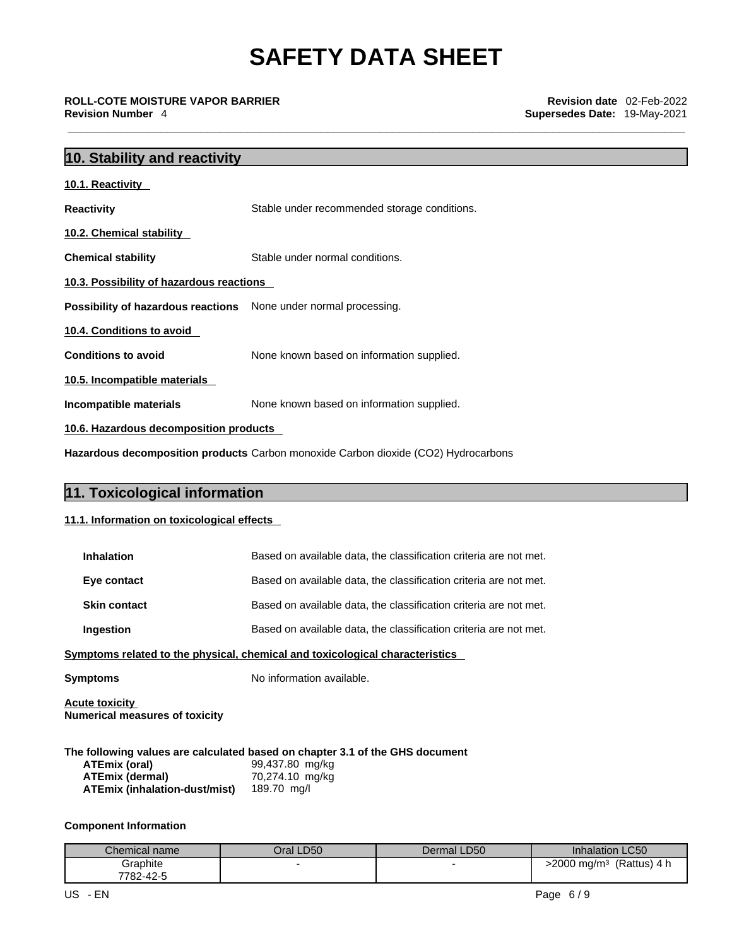**\_\_\_\_\_\_\_\_\_\_\_\_\_\_\_\_\_\_\_\_\_\_\_\_\_\_\_\_\_\_\_\_\_\_\_\_\_\_\_\_\_\_\_\_\_\_\_\_\_\_\_\_\_\_\_\_\_\_\_\_\_\_\_\_\_\_\_\_\_\_\_\_\_\_\_\_\_\_\_\_\_\_\_\_\_\_\_\_\_\_\_\_\_ ROLL-COTE MOISTURE VAPOR BARRIER Revision date** 02-Feb-2022 **Revision Number** 4 **Supersedes Date:** 19-May-2021

# **10. Stability and reactivity 10.1. Reactivity Reactivity Reactivity Reactivity Stable under recommended storage conditions. 10.2. Chemical stability Chemical stability** Stable under normal conditions. **10.3. Possibility of hazardous reactions Possibility of hazardous reactions** None under normal processing. **10.4. Conditions to avoid Conditions to avoid** None known based on information supplied. **10.5. Incompatible materials Incompatible materials** None known based on information supplied. **10.6. Hazardous decomposition products**

**Hazardous decomposition products** Carbon monoxide Carbon dioxide (CO2) Hydrocarbons

# **11. Toxicological information**

# **11.1. Information on toxicologicaleffects**

| Based on available data, the classification criteria are not met.            |
|------------------------------------------------------------------------------|
| Based on available data, the classification criteria are not met.            |
| Based on available data, the classification criteria are not met.            |
| Based on available data, the classification criteria are not met.            |
| Symptoms related to the physical, chemical and toxicological characteristics |
| No information available.                                                    |
|                                                                              |

**Acute toxicity Numerical measures of toxicity**

**The following values are calculated based on chapter 3.1 of the GHS document ATEmix (oral)** 99,437.80 mg/kg **ATEmix (dermal)** 70,274.10 mg/kg<br>**ATEmix (inhalation-dust/mist)** 189.70 mg/l **ATEmix (inhalation-dust/mist)** 

**Component Information**

| Chemical name | Oral LD50 | Dermal LD50 | <b>Inhalation LC50</b>            |
|---------------|-----------|-------------|-----------------------------------|
| Graphite      |           |             | $>$ 2000 mg/m $3$<br>(Rattus) 4 h |
| 7782-42-5     |           |             |                                   |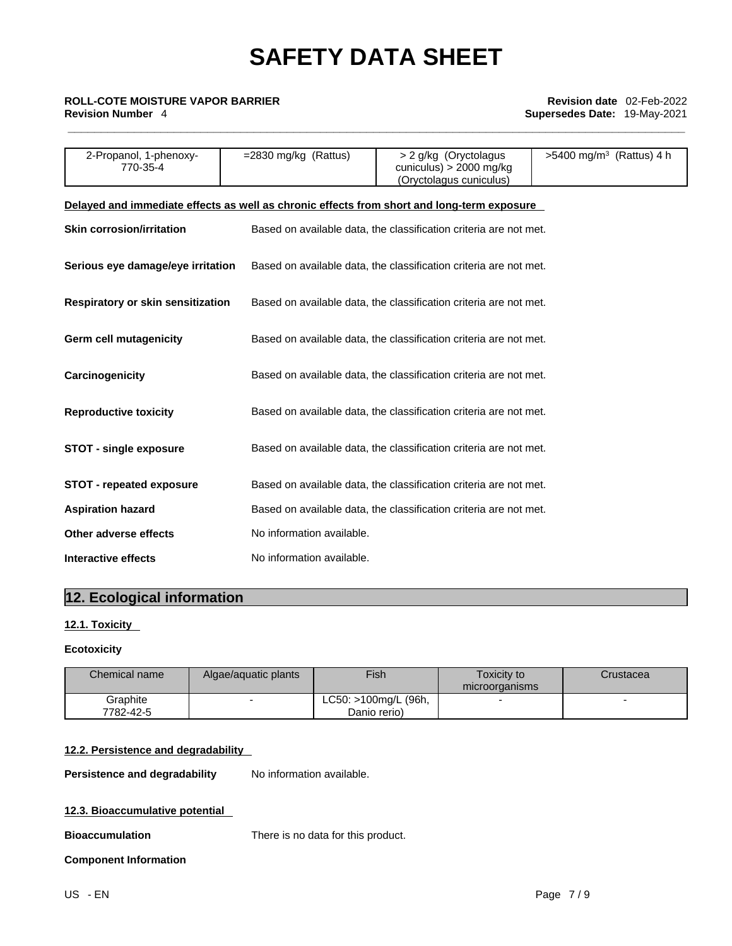| 2-Propanol, 1-phenoxy-<br>770-35-4                                                         | $= 2830$ mg/kg (Rattus)   | > 2 g/kg (Oryctolagus<br>cuniculus) $> 2000$ mg/kg<br>(Oryctolagus cuniculus) | $>5400$ mg/m <sup>3</sup> (Rattus) 4 h |
|--------------------------------------------------------------------------------------------|---------------------------|-------------------------------------------------------------------------------|----------------------------------------|
| Delayed and immediate effects as well as chronic effects from short and long-term exposure |                           |                                                                               |                                        |
| <b>Skin corrosion/irritation</b>                                                           |                           | Based on available data, the classification criteria are not met.             |                                        |
| Serious eye damage/eye irritation                                                          |                           | Based on available data, the classification criteria are not met.             |                                        |
| Respiratory or skin sensitization                                                          |                           | Based on available data, the classification criteria are not met.             |                                        |
| Germ cell mutagenicity                                                                     |                           | Based on available data, the classification criteria are not met.             |                                        |
| Carcinogenicity                                                                            |                           | Based on available data, the classification criteria are not met.             |                                        |
| <b>Reproductive toxicity</b>                                                               |                           | Based on available data, the classification criteria are not met.             |                                        |
| <b>STOT - single exposure</b>                                                              |                           | Based on available data, the classification criteria are not met.             |                                        |
| <b>STOT - repeated exposure</b>                                                            |                           | Based on available data, the classification criteria are not met.             |                                        |
| <b>Aspiration hazard</b>                                                                   |                           | Based on available data, the classification criteria are not met.             |                                        |
| Other adverse effects                                                                      | No information available. |                                                                               |                                        |
| Interactive effects                                                                        | No information available. |                                                                               |                                        |

# **12. Ecological information**

# **12.1. Toxicity**

# **Ecotoxicity**

| Chemical name | Algae/aguatic plants | Fish                 | Toxicity to<br>microorganisms | Crustacea |
|---------------|----------------------|----------------------|-------------------------------|-----------|
| Graphite      |                      | LC50: >100mg/L (96h, |                               |           |
| 7782-42-5     |                      | Danio rerio)         |                               |           |

## **12.2. Persistence and degradability**

**Persistence and degradability** No information available.

## **12.3. Bioaccumulative potential**

**Bioaccumulation** There is no data for this product.

## **Component Information**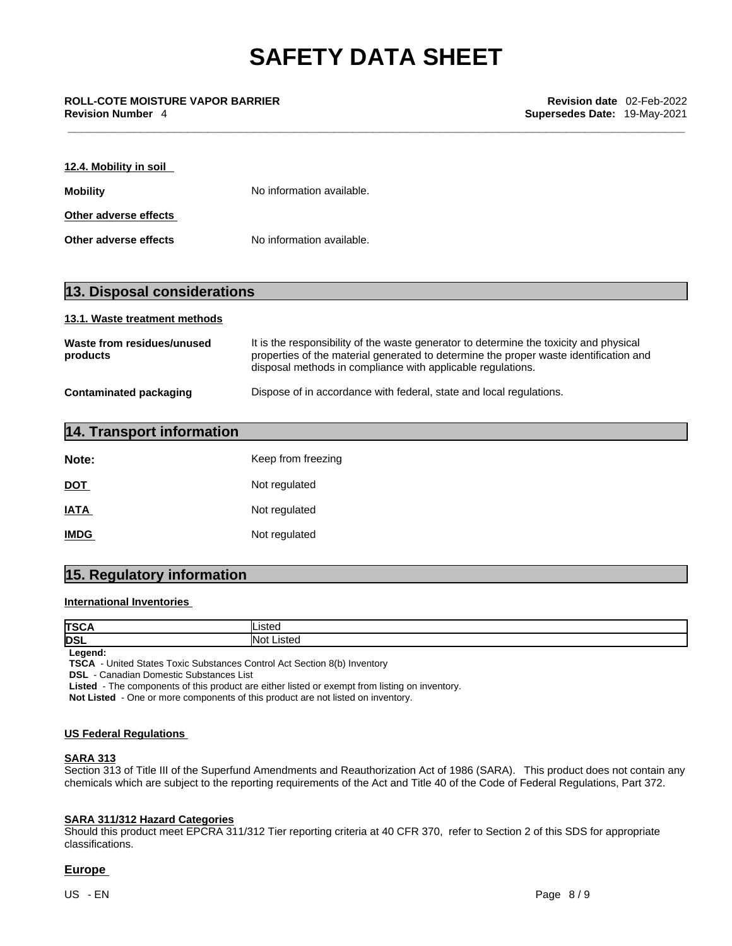| 12.4. Mobility in soil |                           |  |  |
|------------------------|---------------------------|--|--|
| <b>Mobility</b>        | No information available. |  |  |
| Other adverse effects  |                           |  |  |
| Other adverse effects  | No information available. |  |  |

# **13. Disposal considerations**

## **13.1. Waste treatment methods**

| Waste from residues/unused<br>products | It is the responsibility of the waste generator to determine the toxicity and physical<br>properties of the material generated to determine the proper waste identification and<br>disposal methods in compliance with applicable regulations. |  |  |
|----------------------------------------|------------------------------------------------------------------------------------------------------------------------------------------------------------------------------------------------------------------------------------------------|--|--|
| Contaminated packaging                 | Dispose of in accordance with federal, state and local regulations.                                                                                                                                                                            |  |  |

| 14. Transport information |                    |  |
|---------------------------|--------------------|--|
| Note:                     | Keep from freezing |  |
| <u>DOT</u>                | Not regulated      |  |
| <b>IATA</b>               | Not regulated      |  |
| <b>IMDG</b>               | Not regulated      |  |

# **15. Regulatory information**

## **International Inventories**

| <b>TSCA</b> | .isted          |
|-------------|-----------------|
| <b>DSL</b>  | .isted<br>IN ot |
|             |                 |

**Legend:**

**TSCA** - United States Toxic Substances Control Act Section 8(b) Inventory

**DSL** - Canadian Domestic Substances List

**Listed** - The components of this product are either listed or exempt from listing on inventory.

**Not Listed** - One or more components of this product are not listed on inventory.

## **US Federal Regulations**

## **SARA 313**

Section 313 of Title III of the Superfund Amendments and Reauthorization Act of 1986 (SARA). This product does not contain any chemicals which are subject to the reporting requirements of the Act and Title 40 of the Code of Federal Regulations, Part 372.

## **SARA 311/312 Hazard Categories**

Should this product meet EPCRA 311/312 Tier reporting criteria at 40 CFR 370, refer to Section 2 of this SDS for appropriate classifications.

# **Europe**